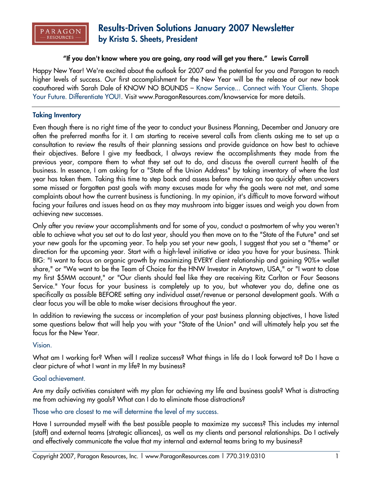

# **Results-Driven Solutions January 2007 Newsletter by Krista S. Sheets, President**

# **"If you don't know where you are going, any road will get you there." Lewis Carroll**

Happy New Year! We're excited about the outlook for 2007 and the potential for you and Paragon to reach higher levels of success. Our first accomplishment for the New Year will be the release of our new book coauthored with Sarah Dale of KNOW NO BOUNDS – Know Service... Connect with Your Clients. Shape Your Future. Differentiate YOU!. Visit www.ParagonResources.com/knowservice for more details.

## **Taking Inventory**

Even though there is no right time of the year to conduct your Business Planning, December and January are often the preferred months for it. I am starting to receive several calls from clients asking me to set up a consultation to review the results of their planning sessions and provide guidance on how best to achieve their objectives. Before I give my feedback, I always review the accomplishments they made from the previous year, compare them to what they set out to do, and discuss the overall current health of the business. In essence, I am asking for a "State of the Union Address" by taking inventory of where the last year has taken them. Taking this time to step back and assess before moving on too quickly often uncovers some missed or forgotten past goals with many excuses made for why the goals were not met, and some complaints about how the current business is functioning. In my opinion, it's difficult to move forward without facing your failures and issues head on as they may mushroom into bigger issues and weigh you down from achieving new successes.

Only after you review your accomplishments and for some of you, conduct a postmortem of why you weren't able to achieve what you set out to do last year, should you then move on to the "State of the Future" and set your new goals for the upcoming year. To help you set your new goals, I suggest that you set a "theme" or direction for the upcoming year. Start with a high-level initiative or idea you have for your business. Think BIG: "I want to focus on organic growth by maximizing EVERY client relationship and gaining 90%+ wallet share," or "We want to be the Team of Choice for the HNW Investor in Anytown, USA," or "I want to close my first \$5MM account," or "Our clients should feel like they are receiving Ritz Carlton or Four Seasons Service." Your focus for your business is completely up to you, but whatever you do, define one as specifically as possible BEFORE setting any individual asset/revenue or personal development goals. With a clear focus you will be able to make wiser decisions throughout the year.

In addition to reviewing the success or incompletion of your past business planning objectives, I have listed some questions below that will help you with your "State of the Union" and will ultimately help you set the focus for the New Year.

#### Vision.

What am I working for? When will I realize success? What things in life do I look forward to? Do I have a clear picture of what I want in my life? In my business?

# Goal achievement.

Are my daily activities consistent with my plan for achieving my life and business goals? What is distracting me from achieving my goals? What can I do to eliminate those distractions?

# Those who are closest to me will determine the level of my success.

Have I surrounded myself with the best possible people to maximize my success? This includes my internal (staff) and external teams (strategic alliances), as well as my clients and personal relationships. Do I actively and effectively communicate the value that my internal and external teams bring to my business?